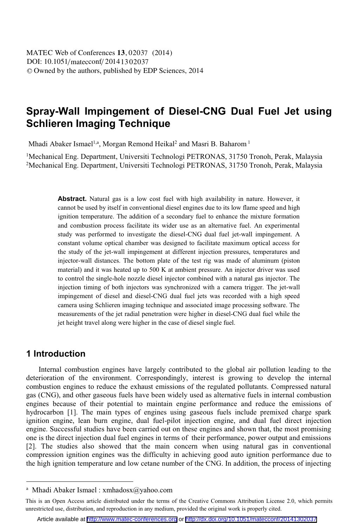# **Spray-Wall Impingement of Diesel-CNG Dual Fuel Jet using Schlieren Imaging Technique**

Mhadi Abaker Ismael<sup>1,a</sup>, Morgan Remond Heikal<sup>2</sup> and Masri B. Baharom  $^1$ 

<sup>1</sup>Mechanical Eng. Department, Universiti Technologi PETRONAS, 31750 Tronoh, Perak, Malaysia<br><sup>2</sup>Mechanical Eng. Department, Universiti Technologi PETRONAS, 31750 Tronoh, Perak, Malaysia <sup>2</sup>Mechanical Eng. Department, Universiti Technologi PETRONAS, 31750 Tronoh, Perak, Malaysia

> Abstract. Natural gas is a low cost fuel with high availability in nature. However, it cannot be used by itself in conventional diesel engines due to its low flame speed and high ignition temperature. The addition of a secondary fuel to enhance the mixture formation and combustion process facilitate its wider use as an alternative fuel. An experimental study was performed to investigate the diesel-CNG dual fuel jet-wall impingement. A constant volume optical chamber was designed to facilitate maximum optical access for the study of the jet-wall impingement at different injection pressures, temperatures and injector-wall distances. The bottom plate of the test rig was made of aluminum (piston material) and it was heated up to 500 K at ambient pressure. An injector driver was used to control the single-hole nozzle diesel injector combined with a natural gas injector. The injection timing of both injectors was synchronized with a camera trigger. The jet-wall impingement of diesel and diesel-CNG dual fuel jets was recorded with a high speed camera using Schlieren imaging technique and associated image processing software. The measurements of the jet radial penetration were higher in diesel-CNG dual fuel while the jet height travel along were higher in the case of diesel single fuel.

### **1 Introduction**

 $\overline{a}$ 

 Internal combustion engines have largely contributed to the global air pollution leading to the deterioration of the environment. Correspondingly, interest is growing to develop the internal combustion engines to reduce the exhaust emissions of the regulated pollutants. Compressed natural gas (CNG), and other gaseous fuels have been widely used as alternative fuels in internal combustion engines because of their potential to maintain engine performance and reduce the emissions of hydrocarbon [1]. The main types of engines using gaseous fuels include premixed charge spark ignition engine, lean burn engine, dual fuel-pilot injection engine, and dual fuel direct injection engine. Successful studies have been carried out on these engines and shown that, the most promising one is the direct injection dual fuel engines in terms of their performance, power output and emissions [2]. The studies also showed that the main concern when using natural gas in conventional compression ignition engines was the difficulty in achieving good auto ignition performance due to the high ignition temperature and low cetane number of the CNG. In addition, the process of injecting

a Mhadi Abaker Ismael : xmhadosx@yahoo.com

This is an Open Access article distributed under the terms of the Creative Commons Attribution License 2.0, which permits unrestricted use, distribution, and reproduction in any medium, provided the original work is properly cited.

Article available at <http://www.matec-conferences.org> or <http://dx.doi.org/10.1051/matecconf/20141302037>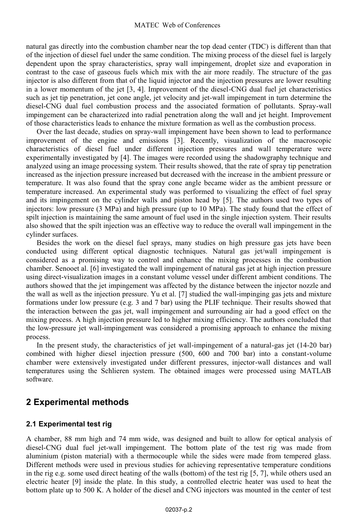#### MATEC Web of Conferences

natural gas directly into the combustion chamber near the top dead center (TDC) is different than that of the injection of diesel fuel under the same condition. The mixing process of the diesel fuel is largely dependent upon the spray characteristics, spray wall impingement, droplet size and evaporation in contrast to the case of gaseous fuels which mix with the air more readily. The structure of the gas injector is also different from that of the liquid injector and the injection pressures are lower resulting in a lower momentum of the jet [3, 4]. Improvement of the diesel-CNG dual fuel jet characteristics such as jet tip penetration, jet cone angle, jet velocity and jet-wall impingement in turn determine the diesel-CNG dual fuel combustion process and the associated formation of pollutants. Spray-wall impingement can be characterized into radial penetration along the wall and jet height. Improvement of those characteristics leads to enhance the mixture formation as well as the combustion process.

Over the last decade, studies on spray-wall impingement have been shown to lead to performance improvement of the engine and emissions [3]. Recently, visualization of the macroscopic characteristics of diesel fuel under different injection pressures and wall temperature were experimentally investigated by [4]. The images were recorded using the shadowgraphy technique and analyzed using an image processing system. Their results showed, that the rate of spray tip penetration increased as the injection pressure increased but decreased with the increase in the ambient pressure or temperature. It was also found that the spray cone angle became wider as the ambient pressure or temperature increased. An experimental study was performed to visualizing the effect of fuel spray and its impingement on the cylinder walls and piston head by [5]. The authors used two types of injectors: low pressure (3 MPa) and high pressure (up to 10 MPa). The study found that the effect of spilt injection is maintaining the same amount of fuel used in the single injection system. Their results also showed that the spilt injection was an effective way to reduce the overall wall impingement in the cylinder surfaces.

Besides the work on the diesel fuel sprays, many studies on high pressure gas jets have been conducted using different optical diagnostic techniques. Natural gas jet/wall impingement is considered as a promising way to control and enhance the mixing processes in the combustion chamber. Senooet al. [6] investigated the wall impingement of natural gas jet at high injection pressure using direct-visualization images in a constant volume vessel under different ambient conditions. The authors showed that the jet impingement was affected by the distance between the injector nozzle and the wall as well as the injection pressure. Yu et al. [7] studied the wall-impinging gas jets and mixture formations under low pressure (e.g. 3 and 7 bar) using the PLIF technique. Their results showed that the interaction between the gas jet, wall impingement and surrounding air had a good effect on the mixing process. A high injection pressure led to higher mixing efficiency. The authors concluded that the low-pressure jet wall-impingement was considered a promising approach to enhance the mixing process.

In the present study, the characteristics of jet wall-impingement of a natural-gas jet (14-20 bar) combined with higher diesel injection pressure (500, 600 and 700 bar) into a constant-volume chamber were extensively investigated under different pressures, injector-wall distances and wall temperatures using the Schlieren system. The obtained images were processed using MATLAB software.

## **2 Experimental methods**

### **2.1 Experimental test rig**

A chamber, 88 mm high and 74 mm wide, was designed and built to allow for optical analysis of diesel-CNG dual fuel jet-wall impingement. The bottom plate of the test rig was made from aluminium (piston material) with a thermocouple while the sides were made from tempered glass. Different methods were used in previous studies for achieving representative temperature conditions in the rig e.g. some used direct heating of the walls (bottom) of the test rig [5, 7], while others used an electric heater [9] inside the plate. In this study, a controlled electric heater was used to heat the bottom plate up to 500 K. A holder of the diesel and CNG injectors was mounted in the center of test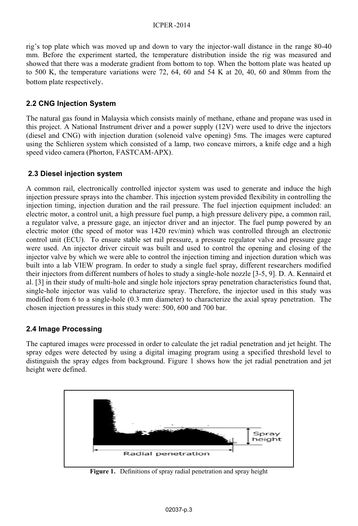rig's top plate which was moved up and down to vary the injector-wall distance in the range 80-40 mm. Before the experiment started, the temperature distribution inside the rig was measured and showed that there was a moderate gradient from bottom to top. When the bottom plate was heated up to 500 K, the temperature variations were 72, 64, 60 and 54 K at 20, 40, 60 and 80mm from the bottom plate respectively.

### **2.2 CNG Injection System**

The natural gas found in Malaysia which consists mainly of methane, ethane and propane was used in this project. A National Instrument driver and a power supply (12V) were used to drive the injectors (diesel and CNG) with injection duration (solenoid valve opening) 5ms. The images were captured using the Schlieren system which consisted of a lamp, two concave mirrors, a knife edge and a high speed video camera (Phorton, FASTCAM-APX).

### **2.3 Diesel injection system**

A common rail, electronically controlled injector system was used to generate and induce the high injection pressure sprays into the chamber. This injection system provided flexibility in controlling the injection timing, injection duration and the rail pressure. The fuel injection equipment included: an electric motor, a control unit, a high pressure fuel pump, a high pressure delivery pipe, a common rail, a regulator valve, a pressure gage, an injector driver and an injector. The fuel pump powered by an electric motor (the speed of motor was 1420 rev/min) which was controlled through an electronic control unit (ECU). To ensure stable set rail pressure, a pressure regulator valve and pressure gage were used. An injector driver circuit was built and used to control the opening and closing of the injector valve by which we were able to control the injection timing and injection duration which was built into a lab VIEW program. In order to study a single fuel spray, different researchers modified their injectors from different numbers of holes to study a single-hole nozzle [3-5, 9]. D. A. Kennaird et al. [3] in their study of multi-hole and single hole injectors spray penetration characteristics found that, single-hole injector was valid to characterize spray. Therefore, the injector used in this study was modified from 6 to a single-hole (0.3 mm diameter) to characterize the axial spray penetration. The chosen injection pressures in this study were: 500, 600 and 700 bar.

### **2.4 Image Processing**

The captured images were processed in order to calculate the jet radial penetration and jet height. The spray edges were detected by using a digital imaging program using a specified threshold level to distinguish the spray edges from background. Figure 1 shows how the jet radial penetration and jet height were defined.



**Figure 1.** Definitions of spray radial penetration and spray height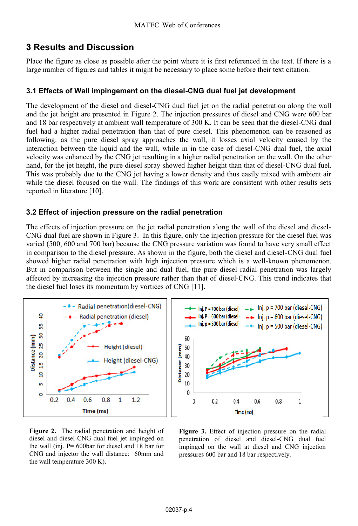# **3 Results and Discussion**

Place the figure as close as possible after the point where it is first referenced in the text. If there is a large number of figures and tables it might be necessary to place some before their text citation.

### **3.1 Effects of Wall impingement on the diesel-CNG dual fuel jet development**

The development of the diesel and diesel-CNG dual fuel jet on the radial penetration along the wall and the jet height are presented in Figure 2. The injection pressures of diesel and CNG were 600 bar and 18 bar respectively at ambient wall temperature of 300 K. It can be seen that the diesel-CNG dual fuel had a higher radial penetration than that of pure diesel. This phenomenon can be reasoned as following: as the pure diesel spray approaches the wall, it losses axial velocity caused by the interaction between the liquid and the wall, while in in the case of diesel-CNG dual fuel, the axial velocity was enhanced by the CNG jet resulting in a higher radial penetration on the wall. On the other hand, for the jet height, the pure diesel spray showed higher height than that of diesel-CNG dual fuel. This was probably due to the CNG jet having a lower density and thus easily mixed with ambient air while the diesel focused on the wall. The findings of this work are consistent with other results sets reported in literature [10].

### **3.2 Effect of injection pressure on the radial penetration**

The effects of injection pressure on the jet radial penetration along the wall of the diesel and diesel-CNG dual fuel are shown in Figure 3. In this figure, only the injection pressure for the diesel fuel was varied (500, 600 and 700 bar) because the CNG pressure variation was found to have very small effect in comparison to the diesel pressure. As shown in the figure, both the diesel and diesel-CNG dual fuel showed higher radial penetration with high injection pressure which is a well-known phenomenon. But in comparison between the single and dual fuel, the pure diesel radial penetration was largely affected by increasing the injection pressure rather than that of diesel-CNG. This trend indicates that the diesel fuel loses its momentum by vortices of CNG [11].



**Figure 2.** The radial penetration and height of diesel and diesel-CNG dual fuel jet impinged on the wall (inj. P= 600bar for diesel and 18 bar for CNG and injector the wall distance: 60mm and the wall temperature 300 K).



**Figure 3.** Effect of injection pressure on the radial penetration of diesel and diesel-CNG dual fuel impinged on the wall at diesel and CNG injection pressures 600 bar and 18 bar respectively.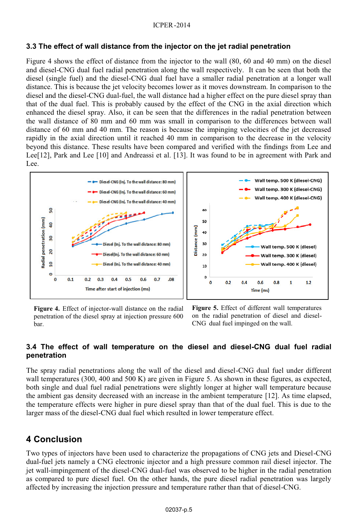### **3.3 The effect of wall distance from the injector on the jet radial penetration**

Figure 4 shows the effect of distance from the injector to the wall (80, 60 and 40 mm) on the diesel and diesel-CNG dual fuel radial penetration along the wall respectively. It can be seen that both the diesel (single fuel) and the diesel-CNG dual fuel have a smaller radial penetration at a longer wall distance. This is because the jet velocity becomes lower as it moves downstream. In comparison to the diesel and the diesel-CNG dual-fuel, the wall distance had a higher effect on the pure diesel spray than that of the dual fuel. This is probably caused by the effect of the CNG in the axial direction which enhanced the diesel spray. Also, it can be seen that the differences in the radial penetration between the wall distance of 80 mm and 60 mm was small in comparison to the differences between wall distance of 60 mm and 40 mm. The reason is because the impinging velocities of the jet decreased rapidly in the axial direction until it reached 40 mm in comparison to the decrease in the velocity beyond this distance. These results have been compared and verified with the findings from Lee and Lee[12], Park and Lee [10] and Andreassi et al. [13]. It was found to be in agreement with Park and Lee.



**Figure 4.** Effect of injector-wall distance on the radial penetration of the diesel spray at injection pressure 600 bar.

**Figure 5.** Effect of different wall temperatures on the radial penetration of diesel and diesel-CNG dual fuel impinged on the wall.

### **3.4 The effect of wall temperature on the diesel and diesel-CNG dual fuel radial penetration**

The spray radial penetrations along the wall of the diesel and diesel-CNG dual fuel under different wall temperatures (300, 400 and 500 K) are given in Figure 5. As shown in these figures, as expected, both single and dual fuel radial penetrations were slightly longer at higher wall temperature because the ambient gas density decreased with an increase in the ambient temperature [12]. As time elapsed, the temperature effects were higher in pure diesel spray than that of the dual fuel. This is due to the larger mass of the diesel-CNG dual fuel which resulted in lower temperature effect.

## **4 Conclusion**

Two types of injectors have been used to characterize the propagations of CNG jets and Diesel-CNG dual-fuel jets namely a CNG electronic injector and a high pressure common rail diesel injector. The jet wall-impingement of the diesel-CNG dual-fuel was observed to be higher in the radial penetration as compared to pure diesel fuel. On the other hands, the pure diesel radial penetration was largely affected by increasing the injection pressure and temperature rather than that of diesel-CNG.